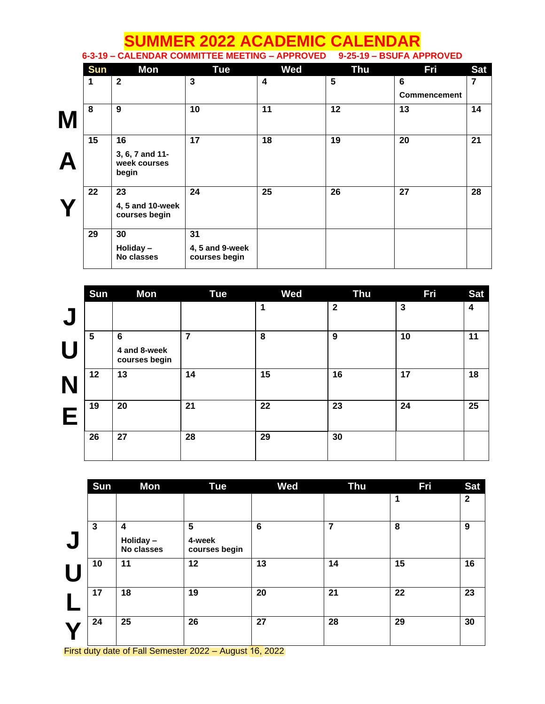## **SUMMER 2022 ACADEMIC CALENDAR**<br>CALENDAR COMMITTEE MEETING – APPROVED 9-25-19 – BSUFA APPROVED **6-3-19 – CALENDAR COMMITTEE MEETING – APPROVED 9-25-19 – BSUFA APPROVED Sun Mon Tue Wed Thu Fri Sat 1 2 3 4 5 6 Commencement 7 M 8 9 10 11 12 13 14 A 15 16 3, 6, 7 and 11 week courses begin 17 18 19 20 21 Y 22 23 4, 5 and 10-week courses begin 24 25 26 27 28 29 30 Holiday – 31**

**4, 5 and 9-week courses begin**

|                         | <b>Sun</b>     | Mon                                              | <b>Tue</b>     | <b>Wed</b>  | <b>Thu</b>   | Fri          | <b>Sat</b>              |
|-------------------------|----------------|--------------------------------------------------|----------------|-------------|--------------|--------------|-------------------------|
| $\overline{\mathbf{C}}$ |                |                                                  |                | $\mathbf 1$ | $\mathbf{2}$ | $\mathbf{3}$ | $\overline{\mathbf{4}}$ |
| $\blacksquare$          | $5\phantom{1}$ | $6\phantom{1}6$<br>4 and 8-week<br>courses begin | $\overline{7}$ | 8           | 9            | 10           | 11                      |
|                         | 12             | 13                                               | 14             | 15          | 16           | 17           | 18                      |
| Г                       | 19             | 20                                               | 21             | 22          | 23           | 24           | 25                      |
|                         | 26             | 27                                               | 28             | 29          | 30           |              |                         |

|     | Sun          | Mon                                        | Tue                          | Wed            | <b>Thu</b> | Fri | <b>Sat</b>   |
|-----|--------------|--------------------------------------------|------------------------------|----------------|------------|-----|--------------|
|     |              |                                            |                              |                |            | 1   | $\mathbf{2}$ |
|     | $\mathbf{3}$ | $\boldsymbol{4}$<br>Holiday-<br>No classes | 5<br>4-week<br>courses begin | $6\phantom{1}$ | 7          | 8   | 9            |
|     | 10           | 11                                         | 12                           | 13             | 14         | 15  | 16           |
|     | 17           | 18                                         | 19                           | 20             | 21         | 22  | 23           |
| --- | 24           | 25<br>______                               | 26<br>___                    | 27             | 28         | 29  | 30           |

First duty date of Fall Semester 2022 – August 16, 2022

**No classes**